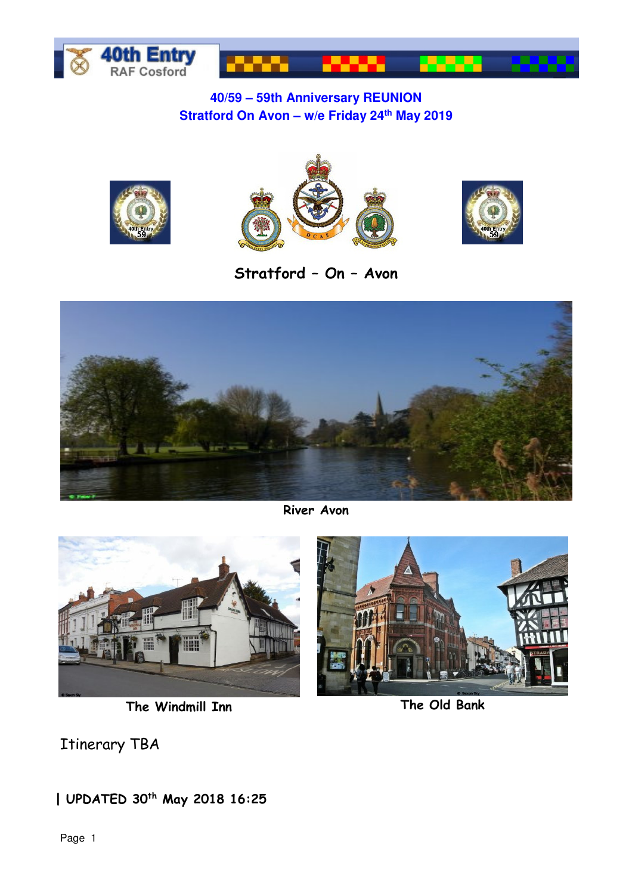

## **40/59 – 59th Anniversary REUNION Stratford On Avon – w/e Friday 24th May 2019**







**Stratford – On – Avon** 



**River Avon** 



**The Windmill Inn The Old Bank**

Itinerary TBA

**| UPDATED 30th May 2018 16:25**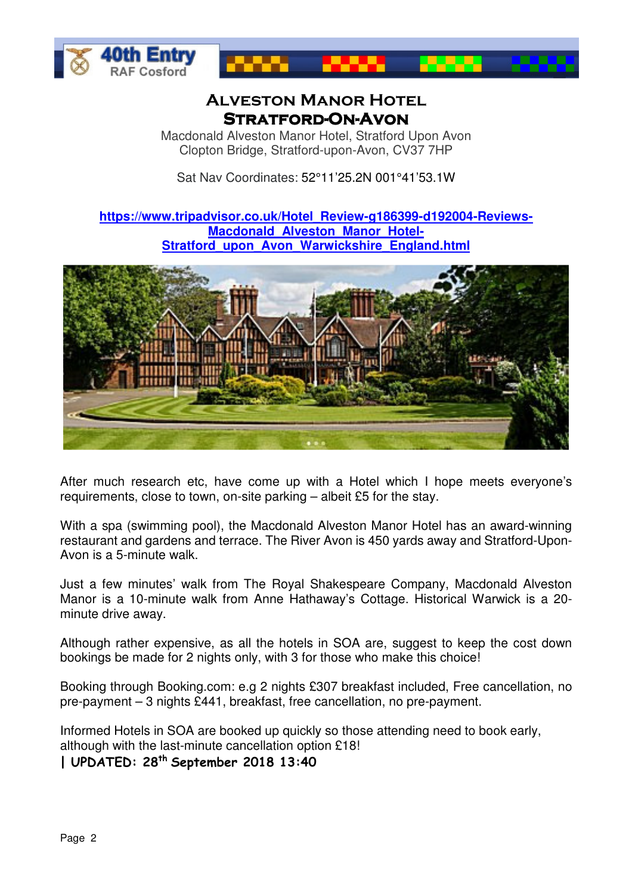



## **Alveston Manor Hotel Stratford- Stratford-On-Avon**

Macdonald Alveston Manor Hotel, Stratford Upon Avon Clopton Bridge, Stratford-upon-Avon, CV37 7HP

Sat Nav Coordinates: 52°11'25.2N 001°41'53.1W

**https://www.tripadvisor.co.uk/Hotel\_Review-g186399-d192004-Reviews-Macdonald\_Alveston\_Manor\_Hotel-Stratford\_upon\_Avon\_Warwickshire\_England.html**



After much research etc, have come up with a Hotel which I hope meets everyone's requirements, close to town, on-site parking – albeit £5 for the stay.

With a spa (swimming pool), the Macdonald Alveston Manor Hotel has an award-winning restaurant and gardens and terrace. The River Avon is 450 yards away and Stratford-Upon-Avon is a 5-minute walk.

Just a few minutes' walk from The Royal Shakespeare Company, Macdonald Alveston Manor is a 10-minute walk from Anne Hathaway's Cottage. Historical Warwick is a 20 minute drive away.

Although rather expensive, as all the hotels in SOA are, suggest to keep the cost down bookings be made for 2 nights only, with 3 for those who make this choice!

Booking through Booking.com: e.g 2 nights £307 breakfast included, Free cancellation, no pre-payment – 3 nights £441, breakfast, free cancellation, no pre-payment.

Informed Hotels in SOA are booked up quickly so those attending need to book early, although with the last-minute cancellation option £18!

**| UPDATED: 28th September 2018 13:40**